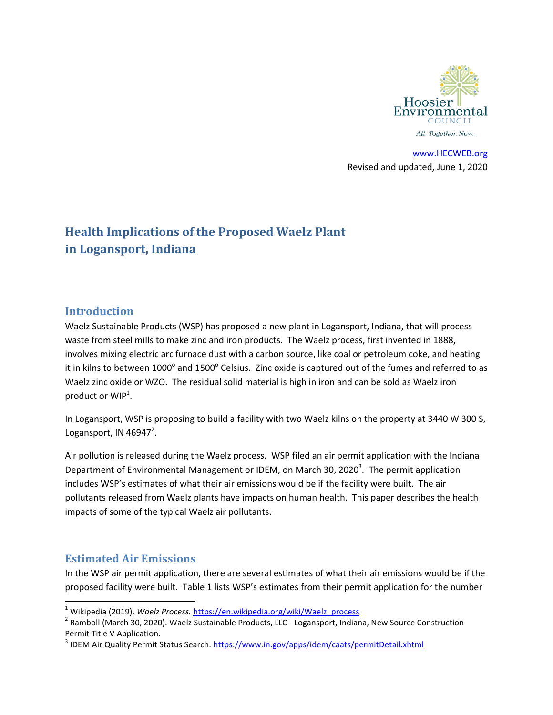

[www.HECWEB.org](http://www.hecweb.org/) Revised and updated, June 1, 2020

# **Health Implications of the Proposed Waelz Plant in Logansport, Indiana**

### **Introduction**

Waelz Sustainable Products (WSP) has proposed a new plant in Logansport, Indiana, that will process waste from steel mills to make zinc and iron products. The Waelz process, first invented in 1888, involves mixing electric arc furnace dust with a carbon source, like coal or petroleum coke, and heating it in kilns to between 1000 $^{\circ}$  and 1500 $^{\circ}$  Celsius. Zinc oxide is captured out of the fumes and referred to as Waelz zinc oxide or WZO. The residual solid material is high in iron and can be sold as Waelz iron product or WIP<sup>1</sup>.

In Logansport, WSP is proposing to build a facility with two Waelz kilns on the property at 3440 W 300 S, Logansport, IN  $46947^2$ .

Air pollution is released during the Waelz process. WSP filed an air permit application with the Indiana Department of Environmental Management or IDEM, on March 30, 2020<sup>3</sup>. The permit application includes WSP's estimates of what their air emissions would be if the facility were built. The air pollutants released from Waelz plants have impacts on human health. This paper describes the health impacts of some of the typical Waelz air pollutants.

### **Estimated Air Emissions**

 $\overline{a}$ 

In the WSP air permit application, there are several estimates of what their air emissions would be if the proposed facility were built. Table 1 lists WSP's estimates from their permit application for the number

<sup>&</sup>lt;sup>1</sup> Wikipedia (2019). *Waelz Process.* [https://en.wikipedia.org/wiki/Waelz\\_process](https://en.wikipedia.org/wiki/Waelz_process)

<sup>&</sup>lt;sup>2</sup> Ramboll (March 30, 2020). Waelz Sustainable Products, LLC - Logansport, Indiana, New Source Construction Permit Title V Application.

<sup>&</sup>lt;sup>3</sup> IDEM Air Quality Permit Status Search. **https://www.in.gov/apps/idem/caats/permitDetail.xhtml**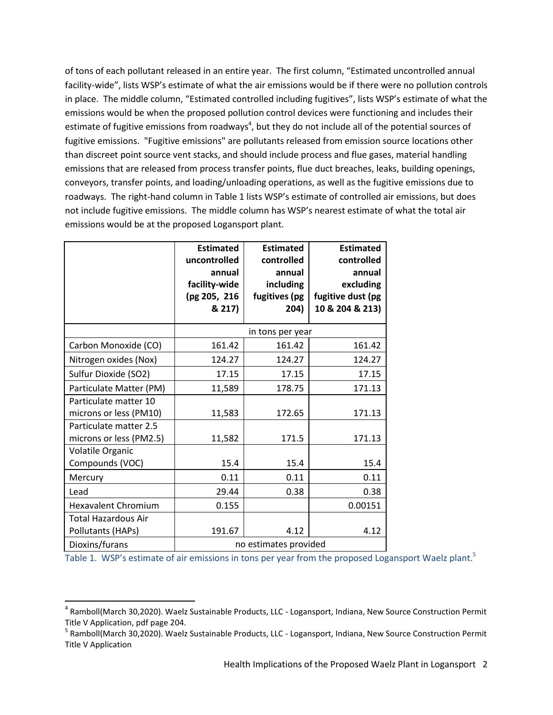of tons of each pollutant released in an entire year. The first column, "Estimated uncontrolled annual facility-wide", lists WSP's estimate of what the air emissions would be if there were no pollution controls in place. The middle column, "Estimated controlled including fugitives", lists WSP's estimate of what the emissions would be when the proposed pollution control devices were functioning and includes their estimate of fugitive emissions from roadways<sup>4</sup>, but they do not include all of the potential sources of fugitive emissions. "Fugitive emissions" are pollutants released from emission source locations other than discreet point source vent stacks, and should include process and flue gases, material handling emissions that are released from process transfer points, flue duct breaches, leaks, building openings, conveyors, transfer points, and loading/unloading operations, as well as the fugitive emissions due to roadways. The right-hand column in Table 1 lists WSP's estimate of controlled air emissions, but does not include fugitive emissions. The middle column has WSP's nearest estimate of what the total air emissions would be at the proposed Logansport plant.

|                                                   | <b>Estimated</b><br>uncontrolled<br>annual<br>facility-wide<br>(pg 205, 216<br>& 217) | <b>Estimated</b><br>controlled<br>annual<br>including<br>fugitives (pg<br>204) | <b>Estimated</b><br>controlled<br>annual<br>excluding<br>fugitive dust (pg<br>10 & 204 & 213) |
|---------------------------------------------------|---------------------------------------------------------------------------------------|--------------------------------------------------------------------------------|-----------------------------------------------------------------------------------------------|
|                                                   | in tons per year                                                                      |                                                                                |                                                                                               |
| Carbon Monoxide (CO)                              | 161.42                                                                                | 161.42                                                                         | 161.42                                                                                        |
| Nitrogen oxides (Nox)                             | 124.27                                                                                | 124.27                                                                         | 124.27                                                                                        |
| Sulfur Dioxide (SO2)                              | 17.15                                                                                 | 17.15                                                                          | 17.15                                                                                         |
| Particulate Matter (PM)                           | 11,589                                                                                | 178.75                                                                         | 171.13                                                                                        |
| Particulate matter 10<br>microns or less (PM10)   | 11,583                                                                                | 172.65                                                                         | 171.13                                                                                        |
| Particulate matter 2.5<br>microns or less (PM2.5) | 11,582                                                                                | 171.5                                                                          | 171.13                                                                                        |
| Volatile Organic<br>Compounds (VOC)               | 15.4                                                                                  | 15.4                                                                           | 15.4                                                                                          |
| Mercury                                           | 0.11                                                                                  | 0.11                                                                           | 0.11                                                                                          |
| Lead                                              | 29.44                                                                                 | 0.38                                                                           | 0.38                                                                                          |
| <b>Hexavalent Chromium</b>                        | 0.155                                                                                 |                                                                                | 0.00151                                                                                       |
| <b>Total Hazardous Air</b><br>Pollutants (HAPs)   | 191.67                                                                                | 4.12                                                                           | 4.12                                                                                          |
| Dioxins/furans                                    | no estimates provided                                                                 |                                                                                |                                                                                               |

 $\overline{a}$ 

Table 1. WSP's estimate of air emissions in tons per year from the proposed Logansport Waelz plant.<sup>5</sup>

<sup>&</sup>lt;sup>4</sup> Ramboll(March 30,2020). Waelz Sustainable Products, LLC - Logansport, Indiana, New Source Construction Permit Title V Application, pdf page 204.

<sup>&</sup>lt;sup>5</sup> Ramboll(March 30,2020). Waelz Sustainable Products, LLC - Logansport, Indiana, New Source Construction Permit Title V Application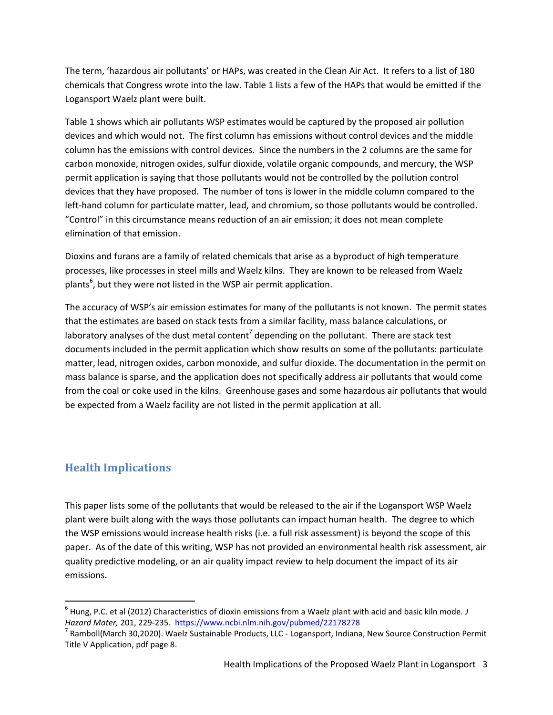The term, 'hazardous air pollutants' or HAPs, was created in the Clean Air Act. It refers to a list of 180 chemicals that Congress wrote into the law. Table 1 lists a few of the HAPs that would be emitted if the Logansport Waelz plant were built.

Table 1 shows which air pollutants WSP estimates would be captured by the proposed air pollution devices and which would not. The first column has emissions without control devices and the middle column has the emissions with control devices. Since the numbers in the 2 columns are the same for carbon monoxide, nitrogen oxides, sulfur dioxide, volatile organic compounds, and mercury, the WSP permit application is saying that those pollutants would not be controlled by the pollution control devices that they have proposed. The number of tons is lower in the middle column compared to the left-hand column for particulate matter, lead, and chromium, so those pollutants would be controlled. "Control" in this circumstance means reduction of an air emission; it does not mean complete elimination of that emission.

Dioxins and furans are a family of related chemicals that arise as a byproduct of high temperature processes, like processes in steel mills and Waelz kilns. They are known to be released from Waelz plants<sup>6</sup>, but they were not listed in the WSP air permit application.

The accuracy of WSP's air emission estimates for many of the pollutants is not known. The permit states that the estimates are based on stack tests from a similar facility, mass balance calculations, or laboratory analyses of the dust metal content<sup>7</sup> depending on the pollutant. There are stack test documents included in the permit application which show results on some of the pollutants: particulate matter, lead, nitrogen oxides, carbon monoxide, and sulfur dioxide. The documentation in the permit on mass balance is sparse, and the application does not specifically address air pollutants that would come from the coal or coke used in the kilns. Greenhouse gases and some hazardous air pollutants that would be expected from a Waelz facility are not listed in the permit application at all.

## **Health Implications**

 $\overline{a}$ 

This paper lists some of the pollutants that would be released to the air if the Logansport WSP Waelz plant were built along with the ways those pollutants can impact human health. The degree to which the WSP emissions would increase health risks (i.e. a full risk assessment) is beyond the scope of this paper. As of the date of this writing, WSP has not provided an environmental health risk assessment, air quality predictive modeling, or an air quality impact review to help document the impact of its air emissions.

<sup>6</sup> Hung, P.C. et al (2012) Characteristics of dioxin emissions from a Waelz plant with acid and basic kiln mode. *J Hazard Mater,* 201, 229-235. <https://www.ncbi.nlm.nih.gov/pubmed/22178278>

 $^7$  Ramboll(March 30,2020). Waelz Sustainable Products, LLC - Logansport, Indiana, New Source Construction Permit Title V Application, pdf page 8.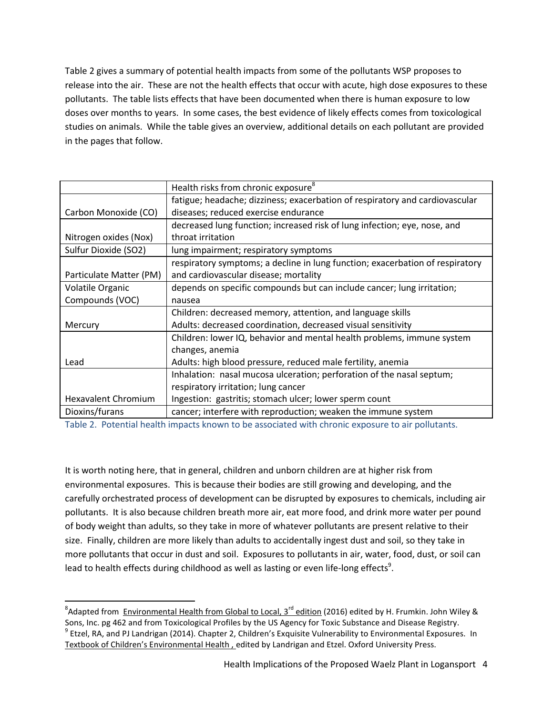Table 2 gives a summary of potential health impacts from some of the pollutants WSP proposes to release into the air. These are not the health effects that occur with acute, high dose exposures to these pollutants. The table lists effects that have been documented when there is human exposure to low doses over months to years. In some cases, the best evidence of likely effects comes from toxicological studies on animals. While the table gives an overview, additional details on each pollutant are provided in the pages that follow.

|                            | Health risks from chronic exposure <sup>8</sup>                               |
|----------------------------|-------------------------------------------------------------------------------|
|                            | fatigue; headache; dizziness; exacerbation of respiratory and cardiovascular  |
| Carbon Monoxide (CO)       | diseases; reduced exercise endurance                                          |
|                            | decreased lung function; increased risk of lung infection; eye, nose, and     |
| Nitrogen oxides (Nox)      | throat irritation                                                             |
| Sulfur Dioxide (SO2)       | lung impairment; respiratory symptoms                                         |
|                            | respiratory symptoms; a decline in lung function; exacerbation of respiratory |
| Particulate Matter (PM)    | and cardiovascular disease; mortality                                         |
| Volatile Organic           | depends on specific compounds but can include cancer; lung irritation;        |
| Compounds (VOC)            | nausea                                                                        |
|                            | Children: decreased memory, attention, and language skills                    |
| Mercury                    | Adults: decreased coordination, decreased visual sensitivity                  |
|                            | Children: lower IQ, behavior and mental health problems, immune system        |
|                            | changes, anemia                                                               |
| Lead                       | Adults: high blood pressure, reduced male fertility, anemia                   |
|                            | Inhalation: nasal mucosa ulceration; perforation of the nasal septum;         |
|                            | respiratory irritation; lung cancer                                           |
| <b>Hexavalent Chromium</b> | Ingestion: gastritis; stomach ulcer; lower sperm count                        |
| Dioxins/furans             | cancer; interfere with reproduction; weaken the immune system                 |

Table 2. Potential health impacts known to be associated with chronic exposure to air pollutants.

It is worth noting here, that in general, children and unborn children are at higher risk from environmental exposures. This is because their bodies are still growing and developing, and the carefully orchestrated process of development can be disrupted by exposures to chemicals, including air pollutants. It is also because children breath more air, eat more food, and drink more water per pound of body weight than adults, so they take in more of whatever pollutants are present relative to their size. Finally, children are more likely than adults to accidentally ingest dust and soil, so they take in more pollutants that occur in dust and soil. Exposures to pollutants in air, water, food, dust, or soil can lead to health effects during childhood as well as lasting or even life-long effects<sup>9</sup>.

 $\overline{a}$ 

 $^8$ Adapted from Environmental Health from Global to Local, 3<sup>rd</sup> edition (2016) edited by H. Frumkin. John Wiley & Sons, Inc. pg 462 and from Toxicological Profiles by the US Agency for Toxic Substance and Disease Registry. <sup>9</sup> Etzel, RA, and PJ Landrigan (2014). Chapter 2, Children's Exquisite Vulnerability to Environmental Exposures. In Textbook of Children's Environmental Health , edited by Landrigan and Etzel. Oxford University Press.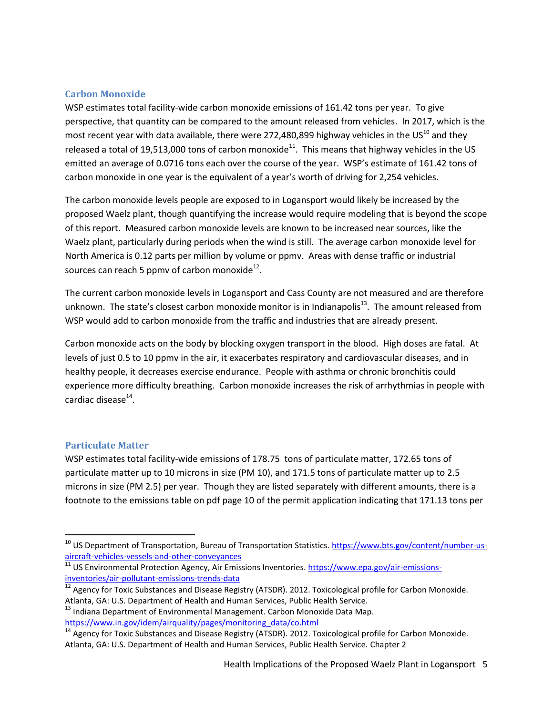#### **Carbon Monoxide**

WSP estimates total facility-wide carbon monoxide emissions of 161.42 tons per year. To give perspective, that quantity can be compared to the amount released from vehicles. In 2017, which is the most recent year with data available, there were 272,480,899 highway vehicles in the US<sup>10</sup> and they released a total of 19,513,000 tons of carbon monoxide<sup>11</sup>. This means that highway vehicles in the US emitted an average of 0.0716 tons each over the course of the year. WSP's estimate of 161.42 tons of carbon monoxide in one year is the equivalent of a year's worth of driving for 2,254 vehicles.

The carbon monoxide levels people are exposed to in Logansport would likely be increased by the proposed Waelz plant, though quantifying the increase would require modeling that is beyond the scope of this report. Measured carbon monoxide levels are known to be increased near sources, like the Waelz plant, particularly during periods when the wind is still. The average carbon monoxide level for North America is 0.12 parts per million by volume or ppmv. Areas with dense traffic or industrial sources can reach 5 ppmv of carbon monoxide $^{12}$ .

The current carbon monoxide levels in Logansport and Cass County are not measured and are therefore unknown. The state's closest carbon monoxide monitor is in Indianapolis $^{13}$ . The amount released from WSP would add to carbon monoxide from the traffic and industries that are already present.

Carbon monoxide acts on the body by blocking oxygen transport in the blood. High doses are fatal. At levels of just 0.5 to 10 ppmv in the air, it exacerbates respiratory and cardiovascular diseases, and in healthy people, it decreases exercise endurance. People with asthma or chronic bronchitis could experience more difficulty breathing. Carbon monoxide increases the risk of arrhythmias in people with cardiac disease<sup>14</sup>.

#### **Particulate Matter**

 $\overline{\phantom{a}}$ 

WSP estimates total facility-wide emissions of 178.75 tons of particulate matter, 172.65 tons of particulate matter up to 10 microns in size (PM 10), and 171.5 tons of particulate matter up to 2.5 microns in size (PM 2.5) per year. Though they are listed separately with different amounts, there is a footnote to the emissions table on pdf page 10 of the permit application indicating that 171.13 tons per

<sup>&</sup>lt;sup>10</sup> US Department of Transportation, Bureau of Transportation Statistics. [https://www.bts.gov/content/number-us](https://www.bts.gov/content/number-us-aircraft-vehicles-vessels-and-other-conveyances)[aircraft-vehicles-vessels-and-other-conveyances](https://www.bts.gov/content/number-us-aircraft-vehicles-vessels-and-other-conveyances)

<sup>&</sup>lt;sup>11</sup> US Environmental Protection Agency, Air Emissions Inventories. [https://www.epa.gov/air-emissions](https://www.epa.gov/air-emissions-inventories/air-pollutant-emissions-trends-data)[inventories/air-pollutant-emissions-trends-data](https://www.epa.gov/air-emissions-inventories/air-pollutant-emissions-trends-data)

 $^{12}$  Agency for Toxic Substances and Disease Registry (ATSDR). 2012. Toxicological profile for Carbon Monoxide. Atlanta, GA: U.S. Department of Health and Human Services, Public Health Service.

<sup>&</sup>lt;sup>13</sup> Indiana Department of Environmental Management. Carbon Monoxide Data Map. [https://www.in.gov/idem/airquality/pages/monitoring\\_data/co.html](https://www.in.gov/idem/airquality/pages/monitoring_data/co.html)

 $\frac{14}{14}$  Agency for Toxic Substances and Disease Registry (ATSDR). 2012. Toxicological profile for Carbon Monoxide. Atlanta, GA: U.S. Department of Health and Human Services, Public Health Service. Chapter 2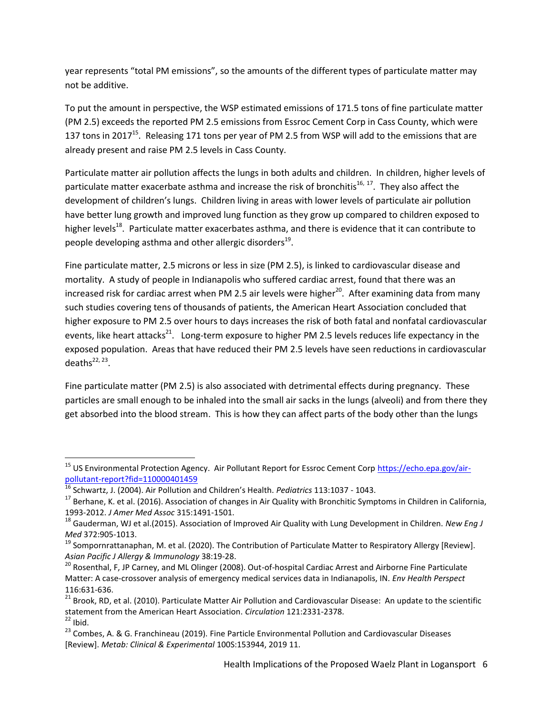year represents "total PM emissions", so the amounts of the different types of particulate matter may not be additive.

To put the amount in perspective, the WSP estimated emissions of 171.5 tons of fine particulate matter (PM 2.5) exceeds the reported PM 2.5 emissions from Essroc Cement Corp in Cass County, which were 137 tons in 2017<sup>15</sup>. Releasing 171 tons per year of PM 2.5 from WSP will add to the emissions that are already present and raise PM 2.5 levels in Cass County.

Particulate matter air pollution affects the lungs in both adults and children. In children, higher levels of particulate matter exacerbate asthma and increase the risk of bronchitis<sup>16, 17</sup>. They also affect the development of children's lungs. Children living in areas with lower levels of particulate air pollution have better lung growth and improved lung function as they grow up compared to children exposed to higher levels<sup>18</sup>. Particulate matter exacerbates asthma, and there is evidence that it can contribute to people developing asthma and other allergic disorders<sup>19</sup>.

Fine particulate matter, 2.5 microns or less in size (PM 2.5), is linked to cardiovascular disease and mortality. A study of people in Indianapolis who suffered cardiac arrest, found that there was an increased risk for cardiac arrest when PM 2.5 air levels were higher $^{20}$ . After examining data from many such studies covering tens of thousands of patients, the American Heart Association concluded that higher exposure to PM 2.5 over hours to days increases the risk of both fatal and nonfatal cardiovascular events, like heart attacks<sup>21</sup>. Long-term exposure to higher PM 2.5 levels reduces life expectancy in the exposed population. Areas that have reduced their PM 2.5 levels have seen reductions in cardiovascular deaths $^{22, 23}$ .

Fine particulate matter (PM 2.5) is also associated with detrimental effects during pregnancy. These particles are small enough to be inhaled into the small air sacks in the lungs (alveoli) and from there they get absorbed into the blood stream. This is how they can affect parts of the body other than the lungs

 $\overline{\phantom{a}}$ 

<sup>&</sup>lt;sup>15</sup> US Environmental Protection Agency. Air Pollutant Report for Essroc Cement Corp [https://echo.epa.gov/air](https://echo.epa.gov/air-pollutant-report?fid=110000401459)[pollutant-report?fid=110000401459](https://echo.epa.gov/air-pollutant-report?fid=110000401459)

<sup>16</sup> Schwartz, J. (2004). Air Pollution and Children's Health. *Pediatrics* 113:1037 - 1043.

<sup>&</sup>lt;sup>17</sup> Berhane, K. et al. (2016). Association of changes in Air Quality with Bronchitic Symptoms in Children in California, 1993-2012. *J Amer Med Assoc* 315:1491-1501.

<sup>18</sup> Gauderman, WJ et al.(2015). Association of Improved Air Quality with Lung Development in Children. *New Eng J Med* 372:905-1013.

<sup>&</sup>lt;sup>19</sup> Sompornrattanaphan, M. et al. (2020). The Contribution of Particulate Matter to Respiratory Allergy [Review]. *Asian Pacific J Allergy & Immunology* 38:19-28.

<sup>&</sup>lt;sup>20</sup> Rosenthal, F, JP Carney, and ML Olinger (2008). Out-of-hospital Cardiac Arrest and Airborne Fine Particulate Matter: A case-crossover analysis of emergency medical services data in Indianapolis, IN. *Env Health Perspect*  116:631-636.

<sup>&</sup>lt;sup>21</sup> Brook, RD, et al. (2010). Particulate Matter Air Pollution and Cardiovascular Disease: An update to the scientific statement from the American Heart Association. *Circulation* 121:2331-2378.  $22$  Ibid.

<sup>&</sup>lt;sup>23</sup> Combes, A. & G. Franchineau (2019). Fine Particle Environmental Pollution and Cardiovascular Diseases [Review]. *Metab: Clinical & Experimental* 100S:153944, 2019 11.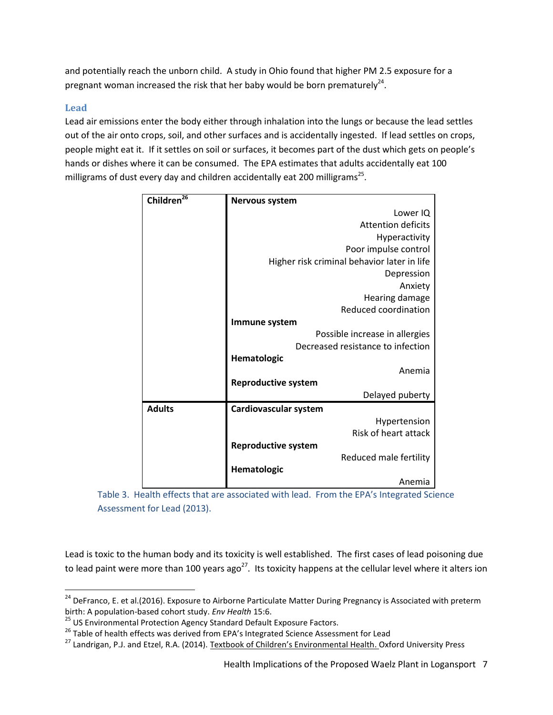and potentially reach the unborn child. A study in Ohio found that higher PM 2.5 exposure for a pregnant woman increased the risk that her baby would be born prematurely<sup>24</sup>.

### **Lead**

l

Lead air emissions enter the body either through inhalation into the lungs or because the lead settles out of the air onto crops, soil, and other surfaces and is accidentally ingested. If lead settles on crops, people might eat it. If it settles on soil or surfaces, it becomes part of the dust which gets on people's hands or dishes where it can be consumed. The EPA estimates that adults accidentally eat 100 milligrams of dust every day and children accidentally eat 200 milligrams<sup>25</sup>.

| Children <sup>26</sup> | <b>Nervous system</b>                       |  |  |  |  |
|------------------------|---------------------------------------------|--|--|--|--|
|                        | Lower IQ                                    |  |  |  |  |
|                        | <b>Attention deficits</b>                   |  |  |  |  |
|                        | Hyperactivity                               |  |  |  |  |
|                        | Poor impulse control                        |  |  |  |  |
|                        | Higher risk criminal behavior later in life |  |  |  |  |
|                        | Depression                                  |  |  |  |  |
|                        | Anxiety                                     |  |  |  |  |
|                        | Hearing damage                              |  |  |  |  |
|                        | Reduced coordination                        |  |  |  |  |
|                        | Immune system                               |  |  |  |  |
|                        | Possible increase in allergies              |  |  |  |  |
|                        | Decreased resistance to infection           |  |  |  |  |
|                        | Hematologic                                 |  |  |  |  |
|                        | Anemia                                      |  |  |  |  |
|                        | <b>Reproductive system</b>                  |  |  |  |  |
|                        | Delayed puberty                             |  |  |  |  |
| <b>Adults</b>          | Cardiovascular system                       |  |  |  |  |
|                        | Hypertension                                |  |  |  |  |
|                        | Risk of heart attack                        |  |  |  |  |
|                        | <b>Reproductive system</b>                  |  |  |  |  |
|                        | Reduced male fertility                      |  |  |  |  |
|                        | Hematologic                                 |  |  |  |  |
|                        | Anemia                                      |  |  |  |  |

Table 3. Health effects that are associated with lead. From the EPA's Integrated Science Assessment for Lead (2013).

Lead is toxic to the human body and its toxicity is well established. The first cases of lead poisoning due to lead paint were more than 100 years  $ago^{27}$ . Its toxicity happens at the cellular level where it alters ion

<sup>&</sup>lt;sup>24</sup> DeFranco, E. et al.(2016). Exposure to Airborne Particulate Matter During Pregnancy is Associated with preterm birth: A population-based cohort study. *Env Health* 15:6.

<sup>&</sup>lt;sup>25</sup> US Environmental Protection Agency Standard Default Exposure Factors.

<sup>&</sup>lt;sup>26</sup> Table of health effects was derived from EPA's Integrated Science Assessment for Lead

<sup>&</sup>lt;sup>27</sup> Landrigan, P.J. and Etzel, R.A. (2014). Textbook of Children's Environmental Health. Oxford University Press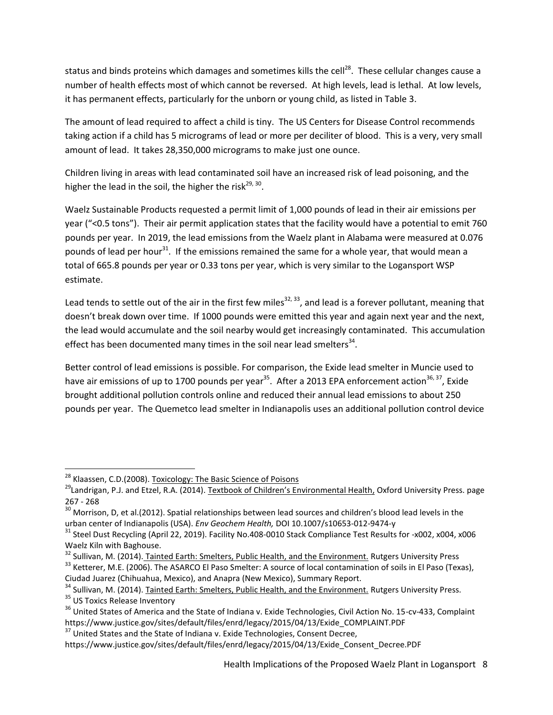status and binds proteins which damages and sometimes kills the cell<sup>28</sup>. These cellular changes cause a number of health effects most of which cannot be reversed. At high levels, lead is lethal. At low levels, it has permanent effects, particularly for the unborn or young child, as listed in Table 3.

The amount of lead required to affect a child is tiny. The US Centers for Disease Control recommends taking action if a child has 5 micrograms of lead or more per deciliter of blood. This is a very, very small amount of lead. It takes 28,350,000 micrograms to make just one ounce.

Children living in areas with lead contaminated soil have an increased risk of lead poisoning, and the higher the lead in the soil, the higher the risk<sup>29, 30</sup>.

Waelz Sustainable Products requested a permit limit of 1,000 pounds of lead in their air emissions per year ("<0.5 tons"). Their air permit application states that the facility would have a potential to emit 760 pounds per year. In 2019, the lead emissions from the Waelz plant in Alabama were measured at 0.076 pounds of lead per hour<sup>31</sup>. If the emissions remained the same for a whole year, that would mean a total of 665.8 pounds per year or 0.33 tons per year, which is very similar to the Logansport WSP estimate.

Lead tends to settle out of the air in the first few miles<sup>32, 33</sup>, and lead is a forever pollutant, meaning that doesn't break down over time. If 1000 pounds were emitted this year and again next year and the next, the lead would accumulate and the soil nearby would get increasingly contaminated. This accumulation effect has been documented many times in the soil near lead smelters<sup>34</sup>.

Better control of lead emissions is possible. For comparison, the Exide lead smelter in Muncie used to have air emissions of up to 1700 pounds per year<sup>35</sup>. After a 2013 EPA enforcement action<sup>36, 37</sup>, Exide brought additional pollution controls online and reduced their annual lead emissions to about 250 pounds per year. The Quemetco lead smelter in Indianapolis uses an additional pollution control device

l

<sup>&</sup>lt;sup>28</sup> Klaassen, C.D.(2008). <u>Toxicology: The Basic Science of Poisons</u>

<sup>&</sup>lt;sup>29</sup>Landrigan, P.J. and Etzel, R.A. (2014). Textbook of Children's Environmental Health, Oxford University Press. page 267 - 268

<sup>&</sup>lt;sup>30</sup> Morrison, D, et al.(2012). Spatial relationships between lead sources and children's blood lead levels in the urban center of Indianapolis (USA). *Env Geochem Health,* DOI 10.1007/s10653-012-9474-y

<sup>&</sup>lt;sup>31</sup> Steel Dust Recycling (April 22, 2019). Facility No.408-0010 Stack Compliance Test Results for -x002, x004, x006 Waelz Kiln with Baghouse.

<sup>32</sup> Sullivan, M. (2014). Tainted Earth: Smelters, Public Health, and the Environment. Rutgers University Press

<sup>&</sup>lt;sup>33</sup> Ketterer, M.E. (2006). The ASARCO El Paso Smelter: A source of local contamination of soils in El Paso (Texas), Ciudad Juarez (Chihuahua, Mexico), and Anapra (New Mexico), Summary Report.

<sup>&</sup>lt;sup>34</sup> Sullivan, M. (2014). Tainted Earth: Smelters, Public Health, and the Environment. Rutgers University Press. <sup>35</sup> US Toxics Release Inventory

<sup>&</sup>lt;sup>36</sup> United States of America and the State of Indiana v. Exide Technologies, Civil Action No. 15-cv-433, Complaint https://www.justice.gov/sites/default/files/enrd/legacy/2015/04/13/Exide\_COMPLAINT.PDF

 $37$  United States and the State of Indiana v. Exide Technologies, Consent Decree,

https://www.justice.gov/sites/default/files/enrd/legacy/2015/04/13/Exide\_Consent\_Decree.PDF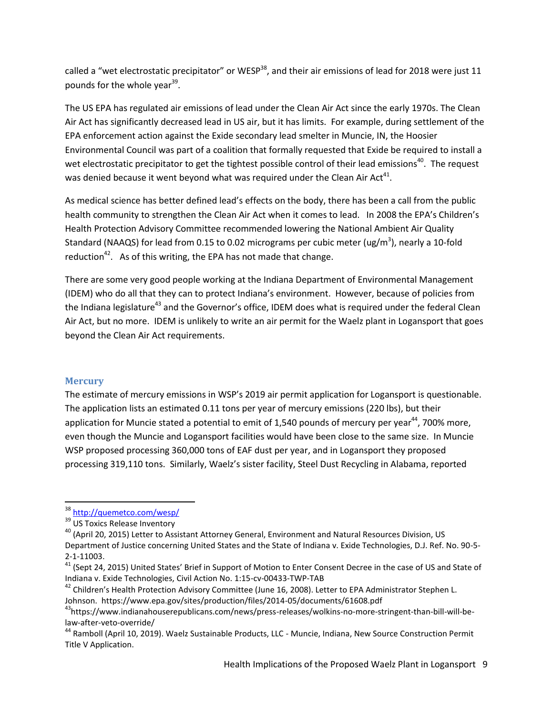called a "wet electrostatic precipitator" or WESP<sup>38</sup>, and their air emissions of lead for 2018 were just 11 pounds for the whole year<sup>39</sup>.

The US EPA has regulated air emissions of lead under the Clean Air Act since the early 1970s. The Clean Air Act has significantly decreased lead in US air, but it has limits. For example, during settlement of the EPA enforcement action against the Exide secondary lead smelter in Muncie, IN, the Hoosier Environmental Council was part of a coalition that formally requested that Exide be required to install a wet electrostatic precipitator to get the tightest possible control of their lead emissions<sup>40</sup>. The request was denied because it went beyond what was required under the Clean Air Act<sup>41</sup>.

As medical science has better defined lead's effects on the body, there has been a call from the public health community to strengthen the Clean Air Act when it comes to lead. In 2008 the EPA's Children's Health Protection Advisory Committee recommended lowering the National Ambient Air Quality Standard (NAAQS) for lead from 0.15 to 0.02 micrograms per cubic meter (ug/m<sup>3</sup>), nearly a 10-fold reduction<sup>42</sup>. As of this writing, the EPA has not made that change.

There are some very good people working at the Indiana Department of Environmental Management (IDEM) who do all that they can to protect Indiana's environment. However, because of policies from the Indiana legislature<sup>43</sup> and the Governor's office, IDEM does what is required under the federal Clean Air Act, but no more. IDEM is unlikely to write an air permit for the Waelz plant in Logansport that goes beyond the Clean Air Act requirements.

#### **Mercury**

The estimate of mercury emissions in WSP's 2019 air permit application for Logansport is questionable. The application lists an estimated 0.11 tons per year of mercury emissions (220 lbs), but their application for Muncie stated a potential to emit of 1,540 pounds of mercury per year<sup>44</sup>, 700% more, even though the Muncie and Logansport facilities would have been close to the same size. In Muncie WSP proposed processing 360,000 tons of EAF dust per year, and in Logansport they proposed processing 319,110 tons. Similarly, Waelz's sister facility, Steel Dust Recycling in Alabama, reported

 $\overline{a}$ 

<sup>&</sup>lt;sup>38</sup> <http://quemetco.com/wesp/>

<sup>&</sup>lt;sup>39</sup> US Toxics Release Inventory

<sup>&</sup>lt;sup>40</sup> (April 20, 2015) Letter to Assistant Attorney General, Environment and Natural Resources Division, US Department of Justice concerning United States and the State of Indiana v. Exide Technologies, D.J. Ref. No. 90-5-

<sup>2-1-11003.</sup>

<sup>&</sup>lt;sup>41</sup> (Sept 24, 2015) United States' Brief in Support of Motion to Enter Consent Decree in the case of US and State of Indiana v. Exide Technologies, Civil Action No. 1:15-cv-00433-TWP-TAB

<sup>&</sup>lt;sup>42</sup> Children's Health Protection Advisory Committee (June 16, 2008). Letter to EPA Administrator Stephen L. Johnson. https://www.epa.gov/sites/production/files/2014-05/documents/61608.pdf

<sup>43</sup>https://www.indianahouserepublicans.com/news/press-releases/wolkins-no-more-stringent-than-bill-will-belaw-after-veto-override/

<sup>&</sup>lt;sup>44</sup> Ramboll (April 10, 2019). Waelz Sustainable Products, LLC - Muncie, Indiana, New Source Construction Permit Title V Application.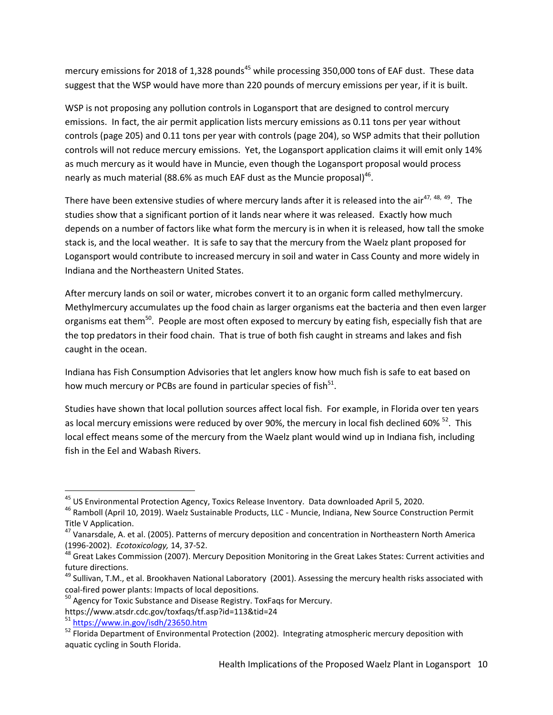mercury emissions for 2018 of 1,328 pounds<sup>45</sup> while processing 350,000 tons of EAF dust. These data suggest that the WSP would have more than 220 pounds of mercury emissions per year, if it is built.

WSP is not proposing any pollution controls in Logansport that are designed to control mercury emissions. In fact, the air permit application lists mercury emissions as 0.11 tons per year without controls (page 205) and 0.11 tons per year with controls (page 204), so WSP admits that their pollution controls will not reduce mercury emissions. Yet, the Logansport application claims it will emit only 14% as much mercury as it would have in Muncie, even though the Logansport proposal would process nearly as much material (88.6% as much EAF dust as the Muncie proposal)<sup>46</sup>.

There have been extensive studies of where mercury lands after it is released into the air<sup>47, 48, 49</sup>. The studies show that a significant portion of it lands near where it was released. Exactly how much depends on a number of factors like what form the mercury is in when it is released, how tall the smoke stack is, and the local weather. It is safe to say that the mercury from the Waelz plant proposed for Logansport would contribute to increased mercury in soil and water in Cass County and more widely in Indiana and the Northeastern United States.

After mercury lands on soil or water, microbes convert it to an organic form called methylmercury. Methylmercury accumulates up the food chain as larger organisms eat the bacteria and then even larger organisms eat them<sup>50</sup>. People are most often exposed to mercury by eating fish, especially fish that are the top predators in their food chain. That is true of both fish caught in streams and lakes and fish caught in the ocean.

Indiana has Fish Consumption Advisories that let anglers know how much fish is safe to eat based on how much mercury or PCBs are found in particular species of fish<sup>51</sup>.

Studies have shown that local pollution sources affect local fish. For example, in Florida over ten years as local mercury emissions were reduced by over 90%, the mercury in local fish declined 60% <sup>52</sup>. This local effect means some of the mercury from the Waelz plant would wind up in Indiana fish, including fish in the Eel and Wabash Rivers.

 $\overline{\phantom{a}}$ 

<sup>&</sup>lt;sup>45</sup> US Environmental Protection Agency, Toxics Release Inventory. Data downloaded April 5, 2020.

<sup>46</sup> Ramboll (April 10, 2019). Waelz Sustainable Products, LLC - Muncie, Indiana, New Source Construction Permit Title V Application.

<sup>&</sup>lt;sup>47</sup> Vanarsdale, A. et al. (2005). Patterns of mercury deposition and concentration in Northeastern North America (1996-2002). *Ecotoxicology,* 14, 37-52.

<sup>48</sup> Great Lakes Commission (2007). Mercury Deposition Monitoring in the Great Lakes States: Current activities and future directions.

<sup>&</sup>lt;sup>49</sup> Sullivan, T.M., et al. Brookhaven National Laboratory (2001). Assessing the mercury health risks associated with coal-fired power plants: Impacts of local depositions.

<sup>&</sup>lt;sup>50</sup> Agency for Toxic Substance and Disease Registry. ToxFags for Mercury.

https://www.atsdr.cdc.gov/toxfaqs/tf.asp?id=113&tid=24

<sup>51</sup> <https://www.in.gov/isdh/23650.htm>

 $52$  Florida Department of Environmental Protection (2002). Integrating atmospheric mercury deposition with aquatic cycling in South Florida.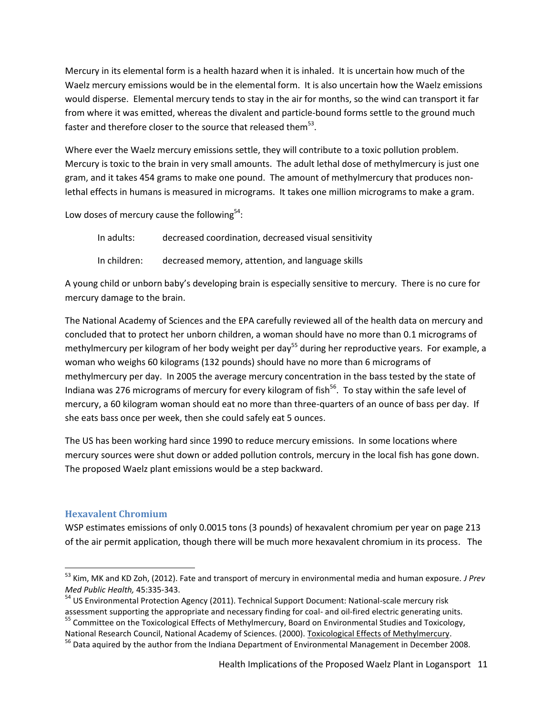Mercury in its elemental form is a health hazard when it is inhaled. It is uncertain how much of the Waelz mercury emissions would be in the elemental form. It is also uncertain how the Waelz emissions would disperse. Elemental mercury tends to stay in the air for months, so the wind can transport it far from where it was emitted, whereas the divalent and particle-bound forms settle to the ground much faster and therefore closer to the source that released them $^{53}$ .

Where ever the Waelz mercury emissions settle, they will contribute to a toxic pollution problem. Mercury is toxic to the brain in very small amounts. The adult lethal dose of methylmercury is just one gram, and it takes 454 grams to make one pound. The amount of methylmercury that produces nonlethal effects in humans is measured in micrograms. It takes one million micrograms to make a gram.

Low doses of mercury cause the following $54$ :

| In adults:   | decreased coordination, decreased visual sensitivity |
|--------------|------------------------------------------------------|
| In children: | decreased memory, attention, and language skills     |

A young child or unborn baby's developing brain is especially sensitive to mercury. There is no cure for mercury damage to the brain.

The National Academy of Sciences and the EPA carefully reviewed all of the health data on mercury and concluded that to protect her unborn children, a woman should have no more than 0.1 micrograms of methylmercury per kilogram of her body weight per day<sup>55</sup> during her reproductive years. For example, a woman who weighs 60 kilograms (132 pounds) should have no more than 6 micrograms of methylmercury per day. In 2005 the average mercury concentration in the bass tested by the state of Indiana was 276 micrograms of mercury for every kilogram of fish<sup>56</sup>. To stay within the safe level of mercury, a 60 kilogram woman should eat no more than three-quarters of an ounce of bass per day. If she eats bass once per week, then she could safely eat 5 ounces.

The US has been working hard since 1990 to reduce mercury emissions. In some locations where mercury sources were shut down or added pollution controls, mercury in the local fish has gone down. The proposed Waelz plant emissions would be a step backward.

### **Hexavalent Chromium**

 $\overline{\phantom{a}}$ 

WSP estimates emissions of only 0.0015 tons (3 pounds) of hexavalent chromium per year on page 213 of the air permit application, though there will be much more hexavalent chromium in its process. The

<sup>53</sup> Kim, MK and KD Zoh, (2012). Fate and transport of mercury in environmental media and human exposure. *J Prev Med Public Health,* 45:335-343.

<sup>&</sup>lt;sup>54</sup> US Environmental Protection Agency (2011). Technical Support Document: National-scale mercury risk

assessment supporting the appropriate and necessary finding for coal- and oil-fired electric generating units. <sup>55</sup> Committee on the Toxicological Effects of Methylmercury, Board on Environmental Studies and Toxicology,

National Research Council, National Academy of Sciences. (2000). Toxicological Effects of Methylmercury.

<sup>&</sup>lt;sup>56</sup> Data aquired by the author from the Indiana Department of Environmental Management in December 2008.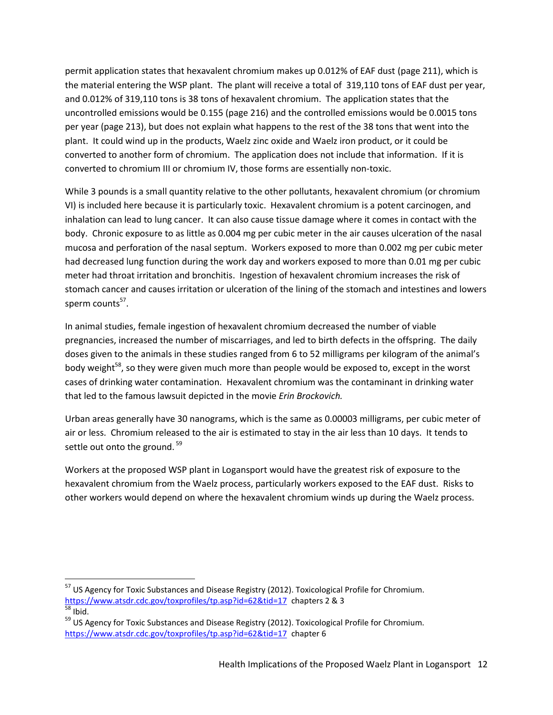permit application states that hexavalent chromium makes up 0.012% of EAF dust (page 211), which is the material entering the WSP plant. The plant will receive a total of 319,110 tons of EAF dust per year, and 0.012% of 319,110 tons is 38 tons of hexavalent chromium. The application states that the uncontrolled emissions would be 0.155 (page 216) and the controlled emissions would be 0.0015 tons per year (page 213), but does not explain what happens to the rest of the 38 tons that went into the plant. It could wind up in the products, Waelz zinc oxide and Waelz iron product, or it could be converted to another form of chromium. The application does not include that information. If it is converted to chromium III or chromium IV, those forms are essentially non-toxic.

While 3 pounds is a small quantity relative to the other pollutants, hexavalent chromium (or chromium VI) is included here because it is particularly toxic. Hexavalent chromium is a potent carcinogen, and inhalation can lead to lung cancer. It can also cause tissue damage where it comes in contact with the body. Chronic exposure to as little as 0.004 mg per cubic meter in the air causes ulceration of the nasal mucosa and perforation of the nasal septum. Workers exposed to more than 0.002 mg per cubic meter had decreased lung function during the work day and workers exposed to more than 0.01 mg per cubic meter had throat irritation and bronchitis. Ingestion of hexavalent chromium increases the risk of stomach cancer and causes irritation or ulceration of the lining of the stomach and intestines and lowers sperm counts<sup>57</sup>.

In animal studies, female ingestion of hexavalent chromium decreased the number of viable pregnancies, increased the number of miscarriages, and led to birth defects in the offspring. The daily doses given to the animals in these studies ranged from 6 to 52 milligrams per kilogram of the animal's body weight<sup>58</sup>, so they were given much more than people would be exposed to, except in the worst cases of drinking water contamination. Hexavalent chromium was the contaminant in drinking water that led to the famous lawsuit depicted in the movie *Erin Brockovich.*

Urban areas generally have 30 nanograms, which is the same as 0.00003 milligrams, per cubic meter of air or less. Chromium released to the air is estimated to stay in the air less than 10 days. It tends to settle out onto the ground.<sup>59</sup>

Workers at the proposed WSP plant in Logansport would have the greatest risk of exposure to the hexavalent chromium from the Waelz process, particularly workers exposed to the EAF dust. Risks to other workers would depend on where the hexavalent chromium winds up during the Waelz process.

 $\overline{a}$ 

<sup>&</sup>lt;sup>57</sup> US Agency for Toxic Substances and Disease Registry (2012). Toxicological Profile for Chromium. <https://www.atsdr.cdc.gov/toxprofiles/tp.asp?id=62&tid=17>chapters 2 & 3  $\frac{1}{58}$  Ibid.

<sup>&</sup>lt;sup>59</sup> US Agency for Toxic Substances and Disease Registry (2012). Toxicological Profile for Chromium. <https://www.atsdr.cdc.gov/toxprofiles/tp.asp?id=62&tid=17>chapter 6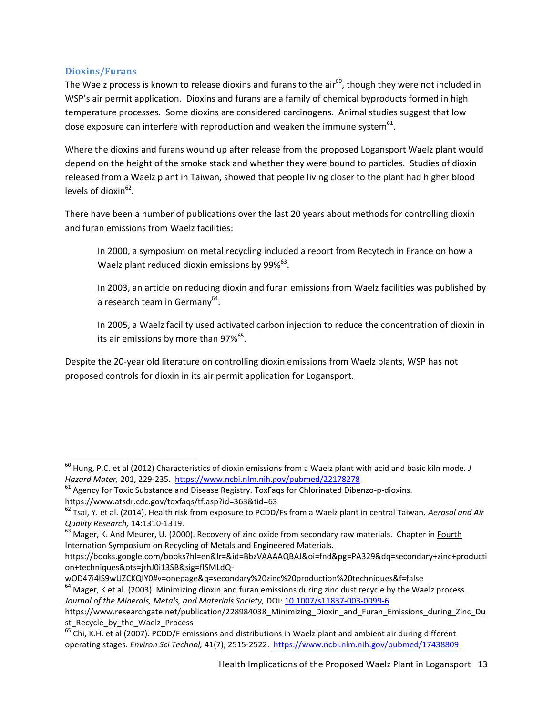### **Dioxins/Furans**

 $\overline{\phantom{a}}$ 

The Waelz process is known to release dioxins and furans to the air $^{60}$ , though they were not included in WSP's air permit application. Dioxins and furans are a family of chemical byproducts formed in high temperature processes. Some dioxins are considered carcinogens. Animal studies suggest that low dose exposure can interfere with reproduction and weaken the immune system $^{61}$ .

Where the dioxins and furans wound up after release from the proposed Logansport Waelz plant would depend on the height of the smoke stack and whether they were bound to particles. Studies of dioxin released from a Waelz plant in Taiwan, showed that people living closer to the plant had higher blood levels of dioxin<sup>62</sup>.

There have been a number of publications over the last 20 years about methods for controlling dioxin and furan emissions from Waelz facilities:

In 2000, a symposium on metal recycling included a report from Recytech in France on how a Waelz plant reduced dioxin emissions by 99% $^{63}$ .

In 2003, an article on reducing dioxin and furan emissions from Waelz facilities was published by a research team in Germany<sup>64</sup>.

In 2005, a Waelz facility used activated carbon injection to reduce the concentration of dioxin in its air emissions by more than 97%<sup>65</sup>.

Despite the 20-year old literature on controlling dioxin emissions from Waelz plants, WSP has not proposed controls for dioxin in its air permit application for Logansport.

<sup>60</sup> Hung, P.C. et al (2012) Characteristics of dioxin emissions from a Waelz plant with acid and basic kiln mode. *J Hazard Mater,* 201, 229-235. <https://www.ncbi.nlm.nih.gov/pubmed/22178278>

 $61$  Agency for Toxic Substance and Disease Registry. ToxFaqs for Chlorinated Dibenzo-p-dioxins. https://www.atsdr.cdc.gov/toxfaqs/tf.asp?id=363&tid=63

<sup>62</sup> Tsai, Y. et al. (2014). Health risk from exposure to PCDD/Fs from a Waelz plant in central Taiwan. *Aerosol and Air Quality Research,* 14:1310-1319.

<sup>&</sup>lt;sup>63</sup> Mager, K. And Meurer, U. (2000). Recovery of zinc oxide from secondary raw materials. Chapter in Fourth Internation Symposium on Recycling of Metals and Engineered Materials.

https://books.google.com/books?hl=en&lr=&id=BbzVAAAAQBAJ&oi=fnd&pg=PA329&dq=secondary+zinc+producti on+techniques&ots=jrhJ0i13SB&sig=fISMLdQ-

wOD47i4IS9wUZCKQIY0#v=onepage&q=secondary%20zinc%20production%20techniques&f=false

<sup>&</sup>lt;sup>64</sup> Mager, K et al. (2003). Minimizing dioxin and furan emissions during zinc dust recycle by the Waelz process. *Journal of the Minerals, Metals, and Materials Society,* DOI[: 10.1007/s11837-003-0099-6](http://dx.doi.org/10.1007/s11837-003-0099-6)

https://www.researchgate.net/publication/228984038 Minimizing Dioxin and Furan Emissions during Zinc Du st Recycle by the Waelz Process

 $<sup>65</sup>$  Chi, K.H. et al (2007). PCDD/F emissions and distributions in Waelz plant and ambient air during different</sup> operating stages. *Environ Sci Technol,* 41(7), 2515-2522. <https://www.ncbi.nlm.nih.gov/pubmed/17438809>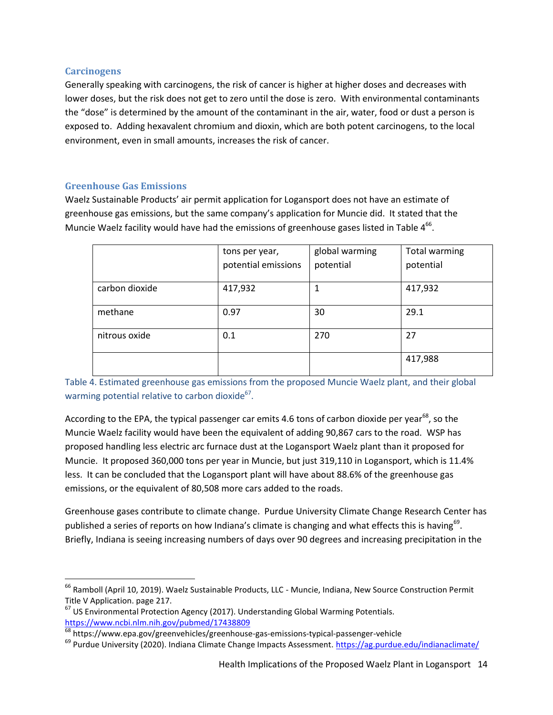#### **Carcinogens**

 $\overline{a}$ 

Generally speaking with carcinogens, the risk of cancer is higher at higher doses and decreases with lower doses, but the risk does not get to zero until the dose is zero. With environmental contaminants the "dose" is determined by the amount of the contaminant in the air, water, food or dust a person is exposed to. Adding hexavalent chromium and dioxin, which are both potent carcinogens, to the local environment, even in small amounts, increases the risk of cancer.

### **Greenhouse Gas Emissions**

Waelz Sustainable Products' air permit application for Logansport does not have an estimate of greenhouse gas emissions, but the same company's application for Muncie did. It stated that the Muncie Waelz facility would have had the emissions of greenhouse gases listed in Table  $4^{66}$ .

|                | tons per year,      | global warming | Total warming |
|----------------|---------------------|----------------|---------------|
|                | potential emissions | potential      | potential     |
| carbon dioxide | 417,932             |                | 417,932       |
| methane        | 0.97                | 30             | 29.1          |
| nitrous oxide  | 0.1                 | 270            | 27            |
|                |                     |                | 417,988       |

Table 4. Estimated greenhouse gas emissions from the proposed Muncie Waelz plant, and their global warming potential relative to carbon dioxide $^{67}$ .

According to the EPA, the typical passenger car emits 4.6 tons of carbon dioxide per year<sup>68</sup>, so the Muncie Waelz facility would have been the equivalent of adding 90,867 cars to the road. WSP has proposed handling less electric arc furnace dust at the Logansport Waelz plant than it proposed for Muncie. It proposed 360,000 tons per year in Muncie, but just 319,110 in Logansport, which is 11.4% less. It can be concluded that the Logansport plant will have about 88.6% of the greenhouse gas emissions, or the equivalent of 80,508 more cars added to the roads.

Greenhouse gases contribute to climate change. Purdue University Climate Change Research Center has published a series of reports on how Indiana's climate is changing and what effects this is having<sup>69</sup>. Briefly, Indiana is seeing increasing numbers of days over 90 degrees and increasing precipitation in the

<sup>&</sup>lt;sup>66</sup> Ramboll (April 10, 2019). Waelz Sustainable Products, LLC - Muncie, Indiana, New Source Construction Permit Title V Application. page 217.

<sup>&</sup>lt;sup>67</sup> US Environmental Protection Agency (2017). Understanding Global Warming Potentials. <https://www.ncbi.nlm.nih.gov/pubmed/17438809>

 $\frac{68}{68}$  https://www.epa.gov/greenvehicles/greenhouse-gas-emissions-typical-passenger-vehicle

<sup>&</sup>lt;sup>69</sup> Purdue University (2020). Indiana Climate Change Impacts Assessment.<https://ag.purdue.edu/indianaclimate/>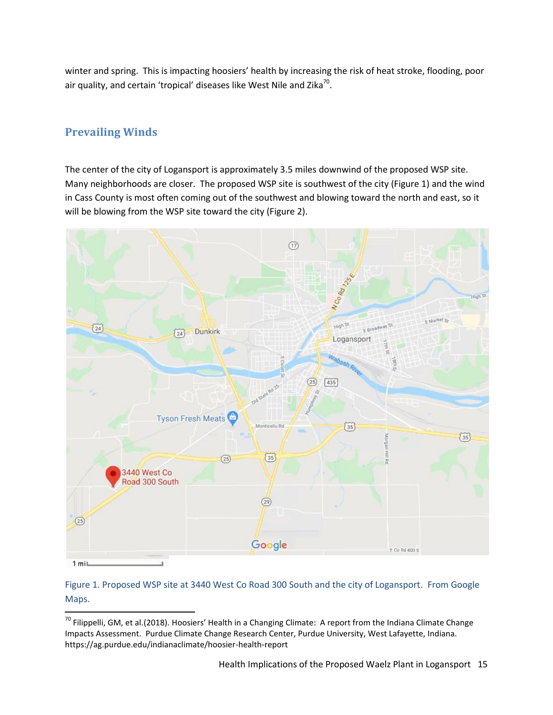winter and spring. This is impacting hoosiers' health by increasing the risk of heat stroke, flooding, poor air quality, and certain 'tropical' diseases like West Nile and Zika<sup>70</sup>.

# **Prevailing Winds**

 $\overline{\phantom{a}}$ 

The center of the city of Logansport is approximately 3.5 miles downwind of the proposed WSP site. Many neighborhoods are closer. The proposed WSP site is southwest of the city (Figure 1) and the wind in Cass County is most often coming out of the southwest and blowing toward the north and east, so it will be blowing from the WSP site toward the city (Figure 2).



### Figure 1. Proposed WSP site at 3440 West Co Road 300 South and the city of Logansport. From Google Maps.

 $^{70}$  Filippelli, GM, et al.(2018). Hoosiers' Health in a Changing Climate: A report from the Indiana Climate Change Impacts Assessment. Purdue Climate Change Research Center, Purdue University, West Lafayette, Indiana. https://ag.purdue.edu/indianaclimate/hoosier-health-report